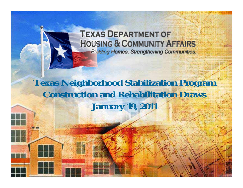#### **TEXAS DEPARTMENT OF HOUSING & COMMUNITY AFFAIRS Building Homes. Strengthening Communities.**

#### **Texas Neighborhood Stabilization Program Construction and Rehabilitation Draws January 19, 2011**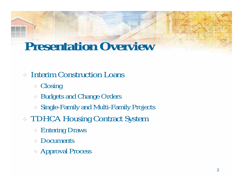### **Presentation Overview**

- **Closing**
- Budgets and Change Orders
- Single-Family and Multi-Family Projects
- TDHCA Housing Contract System
	- Entering Draws
	- Documents
	- Approval Process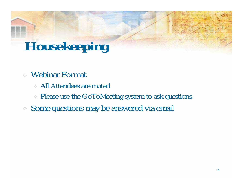# **Housekeeping**

- Webinar Format
	- All Attendees are muted
	- Please use the GoToMeeting system to ask questions
- Some questions may be answered via email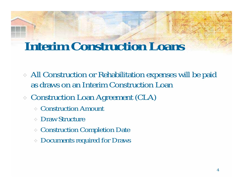- All Construction or Rehabilitation expenses will be paid as draws on an Interim Construction Loan
- Construction Loan Agreement (CLA)
	- Construction Amount
	- Draw Structure
	- Construction Completion Date
	- Documents required for Draws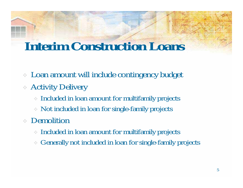- Loan amount will include contingency budget
- Activity Delivery
	- Included in loan amount for multifamily projects
	- Not included in loan for single-family projects
- Demolition
	- Included in loan amount for multifamily projects
	- Generally not included in loan for single-family projects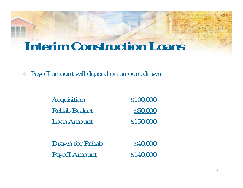Payoff amount will depend on amount drawn:

| Acquisition            | \$100,000 |
|------------------------|-----------|
| <b>Rehab Budget</b>    | \$50,000  |
| <b>Loan Amount</b>     | \$150,000 |
|                        |           |
| <b>Drawn for Rehab</b> | \$40,000  |
| <b>Payoff Amount</b>   | \$140,000 |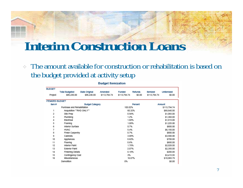The amount available for construction or rehabilitation is based on the budget provided at activity setup

| <b>BUDGET</b>          |                                      |                               |                         |                               |                   |                          |                       |  |
|------------------------|--------------------------------------|-------------------------------|-------------------------|-------------------------------|-------------------|--------------------------|-----------------------|--|
| Project                | <b>Total Budgeted</b><br>\$86,230.00 | State Original<br>\$86,230.00 | Amended<br>\$113,794.74 | <b>Funded</b><br>\$113,794.74 | Refunds<br>\$0.00 | Itemized<br>\$113,794.74 | Uniternized<br>\$0.00 |  |
|                        |                                      |                               |                         |                               |                   |                          |                       |  |
| <b>ITEMIZED BUDGET</b> |                                      |                               |                         |                               |                   |                          |                       |  |
| ltem #                 |                                      | <b>Budget Category</b>        |                         |                               | Percent           |                          | Amount                |  |
|                        | Purchase and Rehabilitation          |                               |                         | 100.02%                       |                   |                          | \$113,794.74          |  |
| 1                      | Acquisition **RHD ONLY**             |                               |                         | 60.32%                        |                   |                          | \$68,640.00           |  |
| 2                      | Site Prep                            |                               |                         | 0.94%                         |                   |                          | \$1,065.00            |  |
| з                      | Plumbing                             |                               |                         | 1.2%                          |                   |                          | \$1,360.00            |  |
| 4                      | Electrical                           |                               |                         | 1.68%                         |                   |                          | \$1,915.00            |  |
| 5                      | Framing                              |                               |                         | 1.08%                         |                   |                          | \$1,225.00            |  |
| 6                      | Interior Surface                     |                               |                         | 0.7%                          |                   |                          | \$800.00              |  |
| 7                      | <b>HVAC</b>                          |                               |                         | 5.4%                          |                   |                          | \$6,150.00            |  |
| 8                      | Finish Carpentry                     |                               |                         | 0.7%                          |                   |                          | \$800.00              |  |
| 9                      | Cabinets                             |                               |                         | 3.08%                         |                   |                          | \$3,500.00            |  |
| 10                     | Appliances                           |                               |                         | 0.62%                         |                   |                          | \$700.00              |  |
| 11                     | Flooring                             |                               |                         | 0.6%                          |                   |                          | \$680.00              |  |
| 12                     | <b>Interior Paint</b>                |                               |                         | 1.78%                         |                   |                          | \$2,028.00            |  |
| 13                     | <b>Exterior Paint</b>                |                               |                         | 2.07%                         |                   |                          | \$2,350.00            |  |
| 14                     | Finishing Details                    |                               |                         | 0.18%                         |                   |                          | \$200.00              |  |
| 15                     | Contingency Cost                     |                               |                         | 3%                            |                   |                          | \$3,415.95            |  |
| 16                     | Miscellaneous                        |                               |                         |                               | 16.67%            |                          | \$18,965.79           |  |
|                        | Demolition                           |                               |                         | 0%                            |                   |                          | \$0.00                |  |
|                        |                                      |                               |                         |                               |                   |                          |                       |  |

#### **Budget Itemization**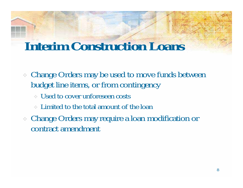- Change Orders may be used to move funds between budget line items, or from contingency
	- Used to cover unforeseen costs
	- Limited to the total amount of the loan
- Change Orders may require a loan modification or contract amendment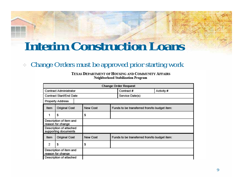#### Change Orders must be approved prior starting work

TEXAS DEPARTMENT OF HOUSING AND COMMUNITY AFFAIRS Neighborhood Stabilization Program

|                                              | <b>Change Order Request</b>                     |                                                          |                                              |                 |            |  |  |  |
|----------------------------------------------|-------------------------------------------------|----------------------------------------------------------|----------------------------------------------|-----------------|------------|--|--|--|
|                                              | <b>Contract Administrator</b>                   |                                                          |                                              | Contract#       | Activity # |  |  |  |
|                                              | Contract Start/End Date                         |                                                          |                                              | Service Date(s) |            |  |  |  |
|                                              | <b>Property Address</b>                         |                                                          |                                              |                 |            |  |  |  |
| Item                                         | <b>Original Cost</b>                            | New Cost<br>Funds to be transferred from/to budget item: |                                              |                 |            |  |  |  |
|                                              | s                                               | \$                                                       |                                              |                 |            |  |  |  |
|                                              | Description of item and<br>reason for change    |                                                          |                                              |                 |            |  |  |  |
|                                              | Description of attached<br>supporting documents |                                                          |                                              |                 |            |  |  |  |
| New Cost<br>Original Cost<br>Item            |                                                 |                                                          | Funds to be transferred from/to budget item: |                 |            |  |  |  |
| 2                                            | s                                               | \$                                                       |                                              |                 |            |  |  |  |
| Description of item and<br>reason for change |                                                 |                                                          |                                              |                 |            |  |  |  |
|                                              | Description of attached                         |                                                          |                                              |                 |            |  |  |  |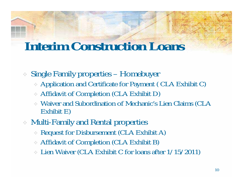- Single Family properties Homebuyer
	- Application and Certificate for Payment ( CLA Exhibit C)
	- Affidavit of Completion (CLA Exhibit D)
	- Waiver and Subordination of Mechanic's Lien Claims (CLA Exhibit E)
- Multi-Family and Rental properties
	- Request for Disbursement (CLA Exhibit A)
	- Affidavit of Completion (CLA Exhibit B)
	- Lien Waiver (CLA Exhibit C for loans after 1/15/2011)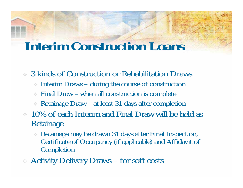3 kinds of Construction or Rehabilitation Draws

- Interim Draws during the course of construction
- Final Draw when all construction is complete
- Retainage Draw at least 31-days after completion
- 10% of each Interim and Final Draw will be held as Retainage
	- Retainage may be drawn 31 days after Final Inspection, Certificate of Occupancy (if applicable) and Affidavit of Completion
- Activity Delivery Draws for soft costs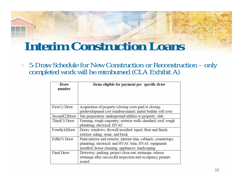5-Draw Schedule for New Construction or Reconstruction – only completed work will be reimbursed (CLA Exhibit A)

| Draw<br>number | Items eligible for payment per specific draw                                                                                                                                    |
|----------------|---------------------------------------------------------------------------------------------------------------------------------------------------------------------------------|
|                |                                                                                                                                                                                 |
| First(1) Draw  | Acquisition of property (closing costs paid at closing;<br>predevelopment cost reimbursement; initial builder soft costs                                                        |
| Second(2)Draw  | Site preparation; underground utilities to property; slab;                                                                                                                      |
| Third(3) Draw  | Framing; rough carpentry; exterior walls sheathed; roof; rough<br>plumbing; electrical; HVAC                                                                                    |
| Fourth(4)Draw  | Doors; windows; drywall installed; taped; float and finish;<br>exterior siding; stone; and brick                                                                                |
| Fifth(5) Draw  | Paint interior and exterior; interior trim, cabinets; countertops;<br>plumbing; electrical; and HVAC trim; HVAC equipment<br>installed; house cleaning; appliances; landscaping |
| Final Draw     | Driveway; parking; project close-out; retainage; release<br>retainage after successful inspection and occupancy permits<br>issued                                               |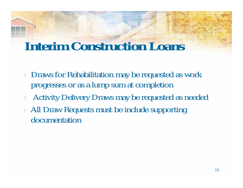- Draws for Rehabilitation may be requested as work progresses or as a lump sum at completion
- Activity Delivery Draws may be requested as needed
- All Draw Requests must be include supporting documentation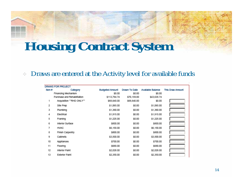#### $\mathcal{L}_{\mathcal{P}}$ Draws are entered at the Activity level for available funds

| DRAWS FOR PROJECT |                             |                        |               |                   |                  |  |  |  |  |
|-------------------|-----------------------------|------------------------|---------------|-------------------|------------------|--|--|--|--|
| ltem #            | Category                    | <b>Budgeted Amount</b> | Drawn To Date | Available Balance | This Draw Amount |  |  |  |  |
|                   | Financing Mechanism         | \$0.00                 | \$0.00        | SO.OD             |                  |  |  |  |  |
|                   | Purchase and Rehabilitation | \$113,794.74           | \$70,159.00   | \$43,635.74       |                  |  |  |  |  |
| 1                 | Acquisition ""RHD ONLY""    | \$68,640.00            | \$68,640.00   | SO.OD             |                  |  |  |  |  |
| 2                 | Site Prep                   | \$1,065.00             | \$0.00        | \$1,065.00        |                  |  |  |  |  |
| 3                 | Plumbing                    | \$1,360.00             | \$0.00        | \$1,360.00        |                  |  |  |  |  |
| 4                 | Electrical                  | \$1,915.00             | SO.OD         | \$1,915.00        |                  |  |  |  |  |
| 5                 | Framing                     | \$1,225.00             | \$0.00        | \$1,225.00        |                  |  |  |  |  |
| 6                 | Interior Surface            | \$800.00               | \$0.00        | \$800.00          |                  |  |  |  |  |
| 7                 | <b>HVAC</b>                 | \$6,150.00             | \$0.00        | \$6,150.00        |                  |  |  |  |  |
| 8                 | Finish Carpentry            | \$800.00               | \$0.00        | \$800.00          |                  |  |  |  |  |
| 9                 | Cabinets                    | \$3,500.00             | \$0.00        | \$3,500.00        |                  |  |  |  |  |
| 10                | Appliances                  | \$700.00               | SO.OD         | \$700.00          |                  |  |  |  |  |
| 11                | Flooring                    | \$680.00               | \$0.00        | \$680.00          |                  |  |  |  |  |
| 12                | Interior Paint              | \$2,028.00             | \$0.00        | \$2,028.00        |                  |  |  |  |  |
| 13                | <b>Exterior Paint</b>       | \$2,350.00             | \$0.00        | \$2,350.00        |                  |  |  |  |  |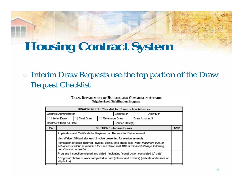Interim Draw Requests use the top portion of the Draw Request Checklist

#### TEXAS DEPARTMENT OF HOUSING AND COMMUNITY AFFAIRS Neighborhood Stabilization Program

| <b>DRAW REQUEST Checklist for Construction Activities</b> |                                                                                                                                                                                                              |                   |                         |                                  |                |  |            |
|-----------------------------------------------------------|--------------------------------------------------------------------------------------------------------------------------------------------------------------------------------------------------------------|-------------------|-------------------------|----------------------------------|----------------|--|------------|
| <b>Contract Administrator</b>                             |                                                                                                                                                                                                              |                   | Contract#<br>Activity # |                                  |                |  |            |
|                                                           | Interim Draw                                                                                                                                                                                                 | <b>Final Draw</b> | Retainage Draw          |                                  | Draw Amount \$ |  |            |
|                                                           | Contract Start/End Date                                                                                                                                                                                      |                   |                         | Service Date(s)                  |                |  |            |
| CA                                                        |                                                                                                                                                                                                              |                   |                         | <b>SECTION 1 - Interim Draws</b> |                |  | <b>NSP</b> |
|                                                           | Application and Certificate for Payment or Request for Disbursement                                                                                                                                          |                   |                         |                                  |                |  |            |
|                                                           | Lien Waiver Affidavit (for each invoice presented for reimbursement)                                                                                                                                         |                   |                         |                                  |                |  |            |
|                                                           | Itemization of costs incurred (invoice, billing, time sheet, etc) Note: maximum 90% of<br>actual costs will be reimbursed for each draw; final 10% is released 30-days following<br>construction completion. |                   |                         |                                  |                |  |            |
|                                                           | Progress Inspection (signed and dated - indicating "construction completed to" date)                                                                                                                         |                   |                         |                                  |                |  |            |
|                                                           | "Progress" photos of work completed to date (interior and exterior) (indicate addresses on<br>all photos)                                                                                                    |                   |                         |                                  |                |  |            |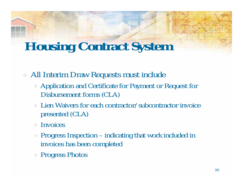All Interim Draw Requests must include

- Application and Certificate for Payment or Request for Disbursement forms (CLA)
- Lien Waivers for each contractor/subcontractor invoice presented (CLA)
- $\therefore$  Invoices
- Progress Inspection indicating that work included in invoices has been completed
- Progress Photos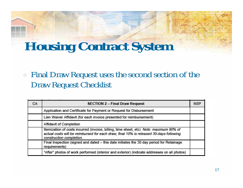Final Draw Request uses the second section of the Draw Request Checklist

| CA. | <b>SECTION 2 - Final Draw Request</b>                                                                                                                                                                        | <b>NSP</b> |
|-----|--------------------------------------------------------------------------------------------------------------------------------------------------------------------------------------------------------------|------------|
|     | Application and Certificate for Payment or Request for Disbursement                                                                                                                                          |            |
|     | Lien Waiver Affidavit (for each invoice presented for reimbursement)                                                                                                                                         |            |
|     | Affidavit of Completion                                                                                                                                                                                      |            |
|     | Itemization of costs incurred (invoice, billing, time sheet, etc) Note: maximum 90% of<br>actual costs will be reimbursed for each draw; final 10% is released 30-days following<br>construction completion. |            |
|     | Final Inspection (signed and dated - this date initiates the 30 day period for Retainage<br>requirements)                                                                                                    |            |
|     | "After" photos of work performed (interior and exterior) (indicate addresses on all photos)                                                                                                                  |            |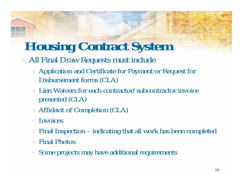- All Final Draw Requests must include
	- Application and Certificate for Payment or Request for Disbursement forms (CLA)
	- Lien Waivers for each contractor/subcontractor invoice presented (CLA)
	- Affidavit of Completion (CLA)
	- $\therefore$  Invoices
	- Final Inspection indicating that all work has been completed
	- Final Photos
	- Some projects may have additional requirements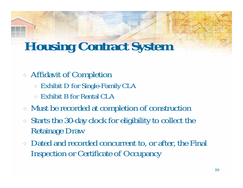#### Affidavit of Completion

- Exhibit D for Single-Family CLA
- Exhibit B for Rental CLA
- Must be recorded at completion of construction
- Starts the 30-day clock for eligibility to collect the Retainage Draw
- Dated and recorded concurrent to, or after, the Final Inspection or Certificate of Occupancy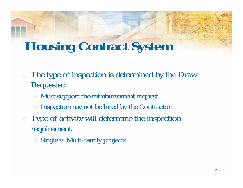- The type of inspection is determined by the Draw Requested
	- Must support the reimbursement request
	- Inspector may not be hired by the Contractor
- Type of activity will determine the inspection requirement
	- Single v. Multi-family projects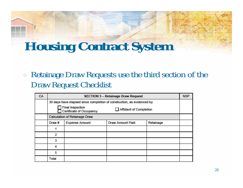Retainage Draw Requests use the third section of the Draw Request Checklist

| CA | <b>SECTION 3 - Retainage Draw Request</b>                               |                                                 |  |  |  |  |  |  |
|----|-------------------------------------------------------------------------|-------------------------------------------------|--|--|--|--|--|--|
|    | 30 days have elapsed since completion of construction, as evidenced by  |                                                 |  |  |  |  |  |  |
|    | Final Inspection<br>Affidavit of Completion<br>Certificate of Occupancy |                                                 |  |  |  |  |  |  |
|    |                                                                         | Calculation of Retainage Draw                   |  |  |  |  |  |  |
|    | Draw#                                                                   | Expense Amount<br>Draw Amount Paid<br>Retainage |  |  |  |  |  |  |
|    |                                                                         |                                                 |  |  |  |  |  |  |
|    | 2                                                                       |                                                 |  |  |  |  |  |  |
|    | 3                                                                       |                                                 |  |  |  |  |  |  |
|    | 4                                                                       |                                                 |  |  |  |  |  |  |
|    | 5                                                                       |                                                 |  |  |  |  |  |  |
|    | Total                                                                   |                                                 |  |  |  |  |  |  |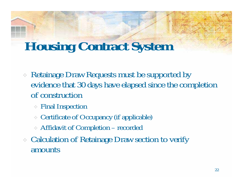- Retainage Draw Requests must be supported by evidence that 30 days have elapsed since the completion of construction
	- Final Inspection
	- Certificate of Occupancy (if applicable)
	- Affidavit of Completion recorded
- Calculation of Retainage Draw section to verify amounts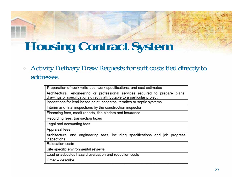#### Activity Delivery Draw Requests for soft costs tied directly to addresses

Preparation of work write-ups, work specifications, and cost estimates Architectural, engineering or professional services required to prepare plans, drawings or specifications directly attributable to a particular project Inspections for lead-based paint, asbestos, termites or septic systems Interim and final inspections by the construction inspector Financing fees, credit reports, title binders and insurance Recording fees, transaction taxes Legal and accounting fees Appraisal fees Architectural and engineering fees, including specifications and job progress inspections Relocation costs Site specific environmental reviews Lead or asbestos hazard evaluation and reduction costs Other – describe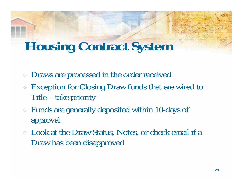- Draws are processed in the order received
- Exception for Closing Draw funds that are wired to Title – take priority
- Funds are generally deposited within 10-days of approval
- Look at the Draw Status, Notes, or check email if a Draw has been disapproved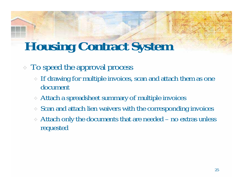#### To speed the approval process

- If drawing for multiple invoices, scan and attach them as one document
- Attach a spreadsheet summary of multiple invoices
- Scan and attach lien waivers with the corresponding invoices
- Attach only the documents that are needed no extras unless requested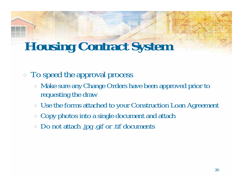- To speed the approval process
	- Make sure any Change Orders have been approved prior to requesting the draw
	- Use the forms attached to your Construction Loan Agreement
	- Copy photos into a single document and attach
	- Do not attach .jpg .gif or .tif documents